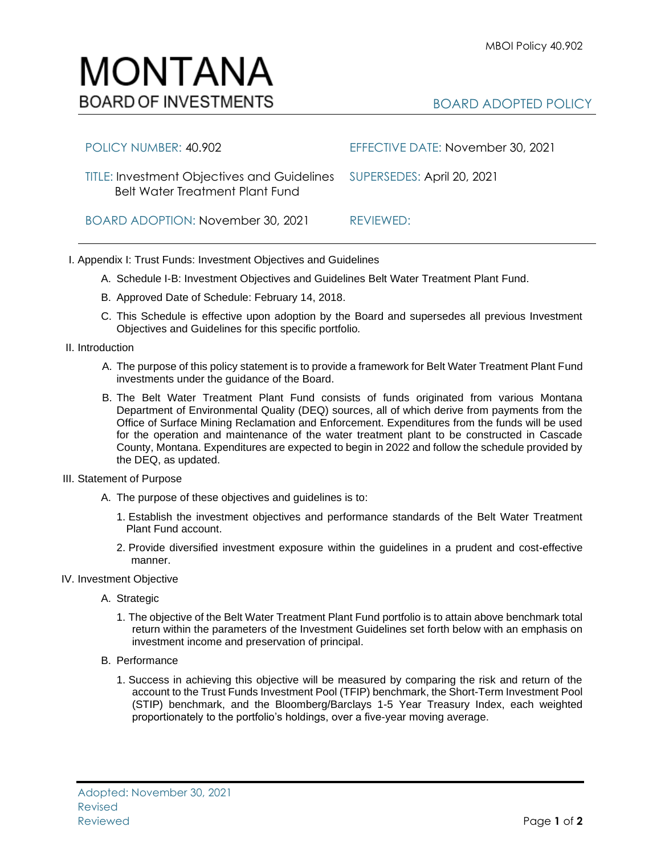## MONTANA **BOARD OF INVESTMENTS**

## BOARD ADOPTED POLICY

| POLICY NUMBER: 40.902                                                                                            | EFFECTIVE DATE: November 30, 2021 |
|------------------------------------------------------------------------------------------------------------------|-----------------------------------|
| TITLE: Investment Objectives and Guidelines SUPERSEDES: April 20, 2021<br><b>Belt Water Treatment Plant Fund</b> |                                   |
| BOARD ADOPTION: November 30, 2021                                                                                | REVIEWED:                         |

- I. Appendix I: Trust Funds: Investment Objectives and Guidelines
	- A. Schedule I-B: Investment Objectives and Guidelines Belt Water Treatment Plant Fund.
	- B. Approved Date of Schedule: February 14, 2018.
	- C. This Schedule is effective upon adoption by the Board and supersedes all previous Investment Objectives and Guidelines for this specific portfolio*.*
- II. Introduction
	- A. The purpose of this policy statement is to provide a framework for Belt Water Treatment Plant Fund investments under the guidance of the Board.
	- B. The Belt Water Treatment Plant Fund consists of funds originated from various Montana Department of Environmental Quality (DEQ) sources, all of which derive from payments from the Office of Surface Mining Reclamation and Enforcement. Expenditures from the funds will be used for the operation and maintenance of the water treatment plant to be constructed in Cascade County, Montana. Expenditures are expected to begin in 2022 and follow the schedule provided by the DEQ, as updated.
- III. Statement of Purpose
	- A. The purpose of these objectives and guidelines is to:
		- 1. Establish the investment objectives and performance standards of the Belt Water Treatment Plant Fund account.
		- 2. Provide diversified investment exposure within the guidelines in a prudent and cost-effective manner.
- IV. Investment Objective
	- A. Strategic
		- 1. The objective of the Belt Water Treatment Plant Fund portfolio is to attain above benchmark total return within the parameters of the Investment Guidelines set forth below with an emphasis on investment income and preservation of principal.
	- B. Performance
		- 1. Success in achieving this objective will be measured by comparing the risk and return of the account to the Trust Funds Investment Pool (TFIP) benchmark, the Short-Term Investment Pool (STIP) benchmark, and the Bloomberg/Barclays 1-5 Year Treasury Index, each weighted proportionately to the portfolio's holdings, over a five-year moving average.